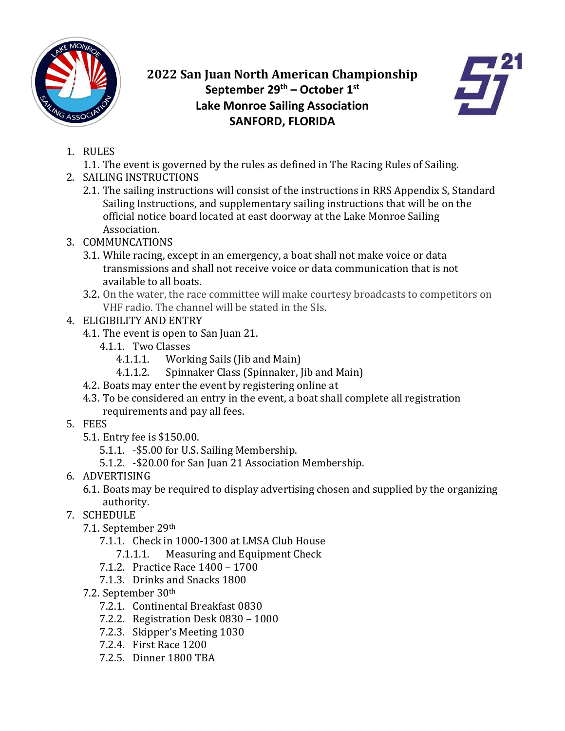

## **2022 San Juan North American Championship September 29th – October 1st Lake Monroe Sailing Association SANFORD, FLORIDA**



- 1. RULES
	- 1.1. The event is governed by the rules as defined in The Racing Rules of Sailing.
- 2. SAILING INSTRUCTIONS
	- 2.1. The sailing instructions will consist of the instructions in RRS Appendix S, Standard Sailing Instructions, and supplementary sailing instructions that will be on the official notice board located at east doorway at the Lake Monroe Sailing Association.
- 3. COMMUNCATIONS
	- 3.1. While racing, except in an emergency, a boat shall not make voice or data transmissions and shall not receive voice or data communication that is not available to all boats.
	- 3.2. On the water, the race committee will make courtesy broadcasts to competitors on VHF radio. The channel will be stated in the SIs.
- 4. ELIGIBILITY AND ENTRY
	- 4.1. The event is open to San Juan 21.
		- 4.1.1. Two Classes<br>4.1.1.1. Work
			- 4.1.1.1. Working Sails (Jib and Main)<br>4.1.1.2. Spinnaker Class (Spinnaker. I
				- Spinnaker Class (Spinnaker, Jib and Main)
	- 4.2. Boats may enter the event by registering online at
	- 4.3. To be considered an entry in the event, a boat shall complete all registration requirements and pay all fees.
- 5. FEES
	- 5.1. Entry fee is \$150.00.
		- 5.1.1. -\$5.00 for U.S. Sailing Membership.
		- 5.1.2. -\$20.00 for San Juan 21 Association Membership.
- 6. ADVERTISING
	- 6.1. Boats may be required to display advertising chosen and supplied by the organizing authority.
- 7. SCHEDULE
	- 7.1. September 29th
		- 7.1.1. Check in 1000-1300 at LMSA Club House
			- 7.1.1.1. Measuring and Equipment Check
		- 7.1.2. Practice Race 1400 1700
		- 7.1.3. Drinks and Snacks 1800
	- 7.2. September 30th
		- 7.2.1. Continental Breakfast 0830
		- 7.2.2. Registration Desk 0830 1000
		- 7.2.3. Skipper's Meeting 1030
		- 7.2.4. First Race 1200
		- 7.2.5. Dinner 1800 TBA